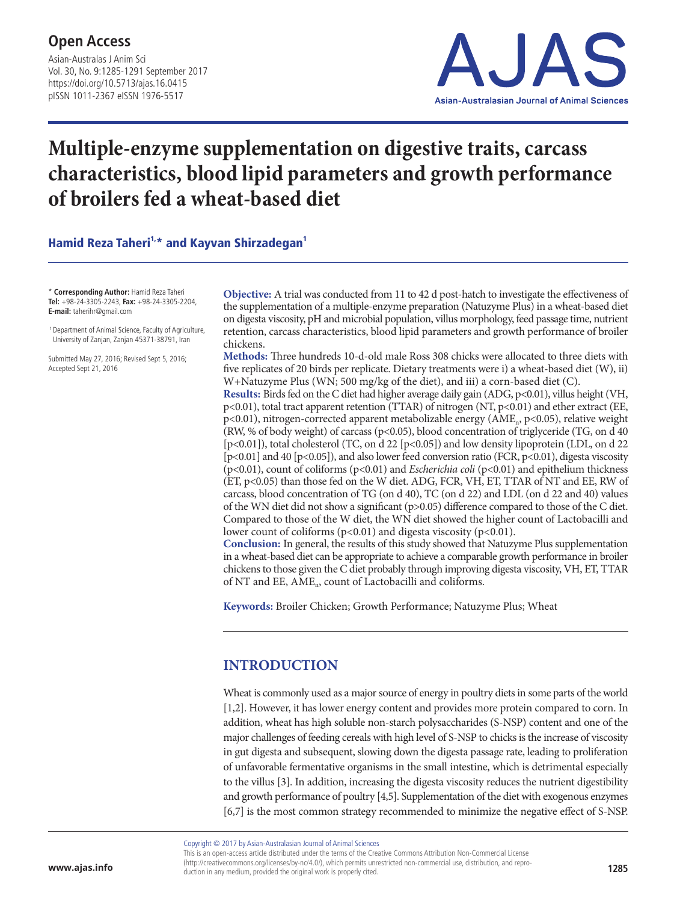Asian-Australas J Anim Sci Vol. 30, No. 9:1285-1291 September 2017 https://doi.org/10.5713/ajas.16.0415 pISSN 1011-2367 eISSN 1976-5517



# **Multiple-enzyme supplementation on digestive traits, carcass characteristics, blood lipid parameters and growth performance of broilers fed a wheat-based diet**

Hamid Reza Taheri<sup>1,\*</sup> and Kayvan Shirzadegan<sup>1</sup>

\* **Corresponding Author:** Hamid Reza Taheri **Tel:** +98-24-3305-2243, **Fax:** +98-24-3305-2204, **E-mail:** taherihr@gmail.com

 1 Department of Animal Science, Faculty of Agriculture, University of Zanjan, Zanjan 45371-38791, Iran

Submitted May 27, 2016; Revised Sept 5, 2016; Accepted Sept 21, 2016

**Objective:** A trial was conducted from 11 to 42 d post-hatch to investigate the effectiveness of the supplementation of a multiple-enzyme preparation (Natuzyme Plus) in a wheat-based diet on digesta viscosity, pH and microbial population, villus morphology, feed passage time, nutrient retention, carcass characteristics, blood lipid parameters and growth performance of broiler chickens.

**Methods:** Three hundreds 10-d-old male Ross 308 chicks were allocated to three diets with five replicates of 20 birds per replicate. Dietary treatments were i) a wheat-based diet (W), ii) W+Natuzyme Plus (WN; 500 mg/kg of the diet), and iii) a corn-based diet (C).

**Results:** Birds fed on the C diet had higher average daily gain (ADG, p<0.01), villus height (VH, p<0.01), total tract apparent retention (TTAR) of nitrogen (NT, p<0.01) and ether extract (EE, p<0.01), nitrogen-corrected apparent metabolizable energy (AME<sub>n</sub>, p<0.05), relative weight (RW, % of body weight) of carcass ( $p$ <0.05), blood concentration of triglyceride (TG, on d 40 [p<0.01]), total cholesterol (TC, on d 22 [p<0.05]) and low density lipoprotein (LDL, on d 22 [p<0.01] and 40 [p<0.05]), and also lower feed conversion ratio (FCR, p<0.01), digesta viscosity (p<0.01), count of coliforms (p<0.01) and *Escherichia coli* (p<0.01) and epithelium thickness (ET, p<0.05) than those fed on the W diet. ADG, FCR, VH, ET, TTAR of NT and EE, RW of carcass, blood concentration of TG (on d 40), TC (on d 22) and LDL (on d 22 and 40) values of the WN diet did not show a significant (p>0.05) difference compared to those of the C diet. Compared to those of the W diet, the WN diet showed the higher count of Lactobacilli and lower count of coliforms ( $p<0.01$ ) and digesta viscosity ( $p<0.01$ ).

**Conclusion:** In general, the results of this study showed that Natuzyme Plus supplementation in a wheat-based diet can be appropriate to achieve a comparable growth performance in broiler chickens to those given the C diet probably through improving digesta viscosity, VH, ET, TTAR of NT and EE, AME<sub>n</sub>, count of Lactobacilli and coliforms.

**Keywords:** Broiler Chicken; Growth Performance; Natuzyme Plus; Wheat

## **INTRODUCTION**

Wheat is commonly used as a major source of energy in poultry diets in some parts of the world [1,2]. However, it has lower energy content and provides more protein compared to corn. In addition, wheat has high soluble non-starch polysaccharides (S-NSP) content and one of the major challenges of feeding cereals with high level of S-NSP to chicks is the increase of viscosity in gut digesta and subsequent, slowing down the digesta passage rate, leading to proliferation of unfavorable fermentative organisms in the small intestine, which is detrimental especially to the villus [3]. In addition, increasing the digesta viscosity reduces the nutrient digestibility and growth performance of poultry [4,5]. Supplementation of the diet with exogenous enzymes [6,7] is the most common strategy recommended to minimize the negative effect of S-NSP.

Copyright © 2017 by Asian-Australasian Journal of Animal Sciences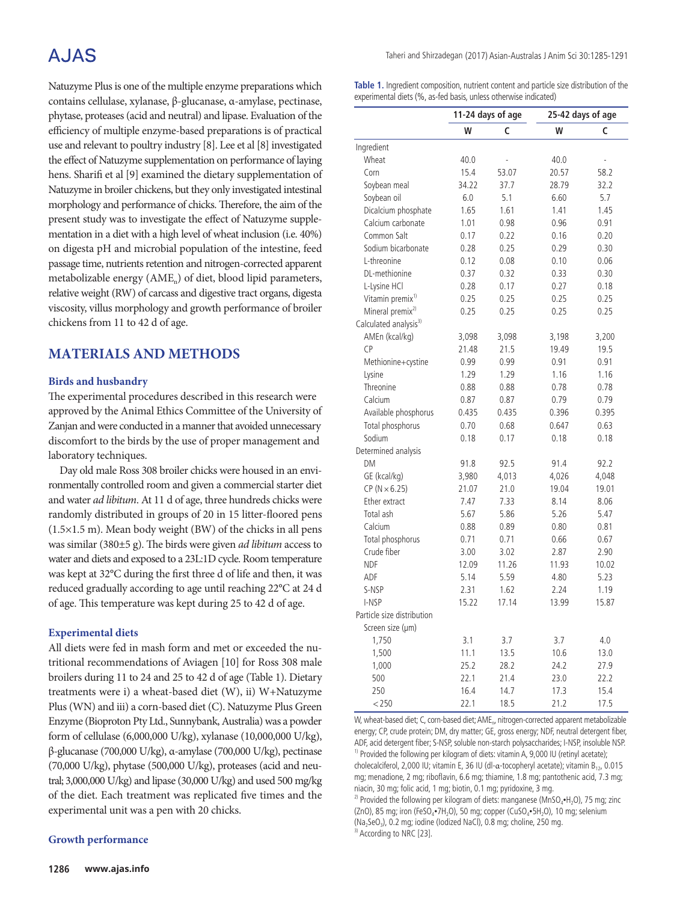## A.JAS

Natuzyme Plus is one of the multiple enzyme preparations which contains cellulase, xylanase, β-glucanase, α-amylase, pectinase, phytase, proteases (acid and neutral) and lipase. Evaluation of the efficiency of multiple enzyme-based preparations is of practical use and relevant to poultry industry [8]. Lee et al [8] investigated the effect of Natuzyme supplementation on performance of laying hens. Sharifi et al [9] examined the dietary supplementation of Natuzyme in broiler chickens, but they only investigated intestinal morphology and performance of chicks. Therefore, the aim of the present study was to investigate the effect of Natuzyme supplementation in a diet with a high level of wheat inclusion (i.e. 40%) on digesta pH and microbial population of the intestine, feed passage time, nutrients retention and nitrogen-corrected apparent metabolizable energy (AME<sub>n</sub>) of diet, blood lipid parameters, relative weight (RW) of carcass and digestive tract organs, digesta viscosity, villus morphology and growth performance of broiler chickens from 11 to 42 d of age.

## **MATERIALS AND METHODS**

#### **Birds and husbandry**

The experimental procedures described in this research were approved by the Animal Ethics Committee of the University of Zanjan and were conducted in a manner that avoided unnecessary discomfort to the birds by the use of proper management and laboratory techniques.

Day old male Ross 308 broiler chicks were housed in an environmentally controlled room and given a commercial starter diet and water *ad libitum*. At 11 d of age, three hundreds chicks were randomly distributed in groups of 20 in 15 litter-floored pens (1.5×1.5 m). Mean body weight (BW) of the chicks in all pens was similar (380±5 g). The birds were given *ad libitum* access to water and diets and exposed to a 23L:1D cycle. Room temperature was kept at 32°C during the first three d of life and then, it was reduced gradually according to age until reaching 22°C at 24 d of age. This temperature was kept during 25 to 42 d of age.

#### **Experimental diets**

All diets were fed in mash form and met or exceeded the nutritional recommendations of Aviagen [10] for Ross 308 male broilers during 11 to 24 and 25 to 42 d of age (Table 1). Dietary treatments were i) a wheat-based diet (W), ii) W+Natuzyme Plus (WN) and iii) a corn-based diet (C). Natuzyme Plus Green Enzyme (Bioproton Pty Ltd., Sunnybank, Australia) was a powder form of cellulase (6,000,000 U/kg), xylanase (10,000,000 U/kg), β-glucanase (700,000 U/kg), α-amylase (700,000 U/kg), pectinase (70,000 U/kg), phytase (500,000 U/kg), proteases (acid and neutral; 3,000,000 U/kg) and lipase (30,000 U/kg) and used 500 mg/kg of the diet. Each treatment was replicated five times and the experimental unit was a pen with 20 chicks.

#### **Growth performance**

**Table 1.** Ingredient composition, nutrient content and particle size distribution of the experimental diets (%, as-fed basis, unless otherwise indicated)

|                                   | 11-24 days of age |       | 25-42 days of age |       |  |
|-----------------------------------|-------------------|-------|-------------------|-------|--|
|                                   | W                 | c     | W                 | c     |  |
| Ingredient                        |                   |       |                   |       |  |
| Wheat                             | 40.0              |       | 40.0              |       |  |
| Corn                              | 15.4              | 53.07 | 20.57             | 58.2  |  |
| Soybean meal                      | 34.22             | 37.7  | 28.79             | 32.2  |  |
| Soybean oil                       | 6.0               | 5.1   | 6.60              | 5.7   |  |
| Dicalcium phosphate               | 1.65              | 1.61  | 1.41              | 1.45  |  |
| Calcium carbonate                 | 1.01              | 0.98  | 0.96              | 0.91  |  |
| Common Salt                       | 0.17              | 0.22  | 0.16              | 0.20  |  |
| Sodium bicarbonate                | 0.28              | 0.25  | 0.29              | 0.30  |  |
| L-threonine                       | 0.12              | 0.08  | 0.10              | 0.06  |  |
| DL-methionine                     | 0.37              | 0.32  | 0.33              | 0.30  |  |
| L-Lysine HCl                      | 0.28              | 0.17  | 0.27              | 0.18  |  |
| Vitamin premix <sup>1)</sup>      | 0.25              | 0.25  | 0.25              | 0.25  |  |
| Mineral premix <sup>2)</sup>      | 0.25              | 0.25  | 0.25              | 0.25  |  |
| Calculated analysis <sup>3)</sup> |                   |       |                   |       |  |
| AMEn (kcal/kg)                    | 3,098             | 3,098 | 3,198             | 3,200 |  |
| <b>CP</b>                         | 21.48             | 21.5  | 19.49             | 19.5  |  |
| Methionine+cystine                | 0.99              | 0.99  | 0.91              | 0.91  |  |
| Lysine                            | 1.29              | 1.29  | 1.16              | 1.16  |  |
| Threonine                         | 0.88              | 0.88  | 0.78              | 0.78  |  |
| Calcium                           | 0.87              | 0.87  | 0.79              | 0.79  |  |
| Available phosphorus              | 0.435             | 0.435 | 0.396             | 0.395 |  |
| Total phosphorus                  | 0.70              | 0.68  | 0.647             | 0.63  |  |
| Sodium                            | 0.18              | 0.17  | 0.18              | 0.18  |  |
| Determined analysis               |                   |       |                   |       |  |
| DM                                | 91.8              | 92.5  | 91.4              | 92.2  |  |
| GE (kcal/kg)                      | 3,980             | 4,013 | 4,026             | 4,048 |  |
| $CP (N \times 6.25)$              | 21.07             | 21.0  | 19.04             | 19.01 |  |
| Ether extract                     | 7.47              | 7.33  | 8.14              | 8.06  |  |
| Total ash                         | 5.67              | 5.86  | 5.26              | 5.47  |  |
| Calcium                           | 0.88              | 0.89  | 0.80              | 0.81  |  |
| Total phosphorus                  | 0.71              | 0.71  | 0.66              | 0.67  |  |
| Crude fiber                       | 3.00              | 3.02  | 2.87              | 2.90  |  |
| <b>NDF</b>                        | 12.09             | 11.26 | 11.93             | 10.02 |  |
| ADF                               | 5.14              | 5.59  | 4.80              | 5.23  |  |
| S-NSP                             | 2.31              | 1.62  | 2.24              | 1.19  |  |
| I-NSP                             | 15.22             | 17.14 | 13.99             | 15.87 |  |
| Particle size distribution        |                   |       |                   |       |  |
| Screen size (µm)                  |                   |       |                   |       |  |
| 1,750                             | 3.1               | 3.7   | 3.7               | 4.0   |  |
| 1,500                             | 11.1              | 13.5  | 10.6              | 13.0  |  |
| 1,000                             | 25.2              | 28.2  | 24.2              | 27.9  |  |
| 500                               | 22.1              | 21.4  | 23.0              | 22.2  |  |
| 250                               | 16.4              | 14.7  | 17.3              | 15.4  |  |
| $<$ 250                           | 22.1              | 18.5  | 21.2              | 17.5  |  |

W, wheat-based diet; C, corn-based diet; AME<sub>n</sub>, nitrogen-corrected apparent metabolizable energy; CP, crude protein; DM, dry matter; GE, gross energy; NDF, neutral detergent fiber, ADF, acid detergent fiber; S-NSP, soluble non-starch polysaccharides; I-NSP, insoluble NSP. <sup>1)</sup> Provided the following per kilogram of diets: vitamin A, 9,000 IU (retinyl acetate); cholecalciferol, 2,000 IU; vitamin E, 36 IU (dl-α-tocopheryl acetate); vitamin B<sub>12</sub>, 0.015 mg; menadione, 2 mg; riboflavin, 6.6 mg; thiamine, 1.8 mg; pantothenic acid, 7.3 mg; niacin, 30 mg; folic acid, 1 mg; biotin, 0.1 mg; pyridoxine, 3 mg.

<sup>2)</sup> Provided the following per kilogram of diets: manganese (MnSO<sub>4</sub>•H<sub>2</sub>O), 75 mg; zinc (ZnO), 85 mg; iron (FeSO<sub>4</sub>•7H<sub>2</sub>O), 50 mg; copper (CuSO<sub>4</sub>•5H<sub>2</sub>O), 10 mg; selenium (Na<sub>2</sub>SeO<sub>3</sub>), 0.2 mg; iodine (Iodized NaCl), 0.8 mg; choline, 250 mg.

<sup>3)</sup> According to NRC [23].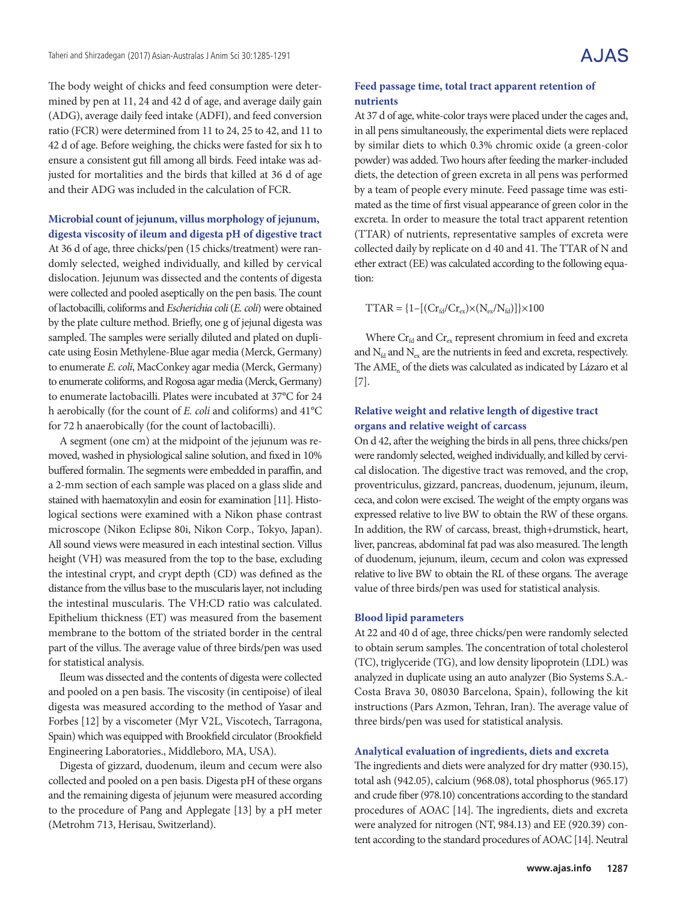The body weight of chicks and feed consumption were determined by pen at 11, 24 and 42 d of age, and average daily gain (ADG), average daily feed intake (ADFI), and feed conversion ratio (FCR) were determined from 11 to 24, 25 to 42, and 11 to 42 d of age. Before weighing, the chicks were fasted for six h to ensure a consistent gut fill among all birds. Feed intake was adjusted for mortalities and the birds that killed at 36 d of age and their ADG was included in the calculation of FCR.

### **Microbial count of jejunum, villus morphology of jejunum, digesta viscosity of ileum and digesta pH of digestive tract**

At 36 d of age, three chicks/pen (15 chicks/treatment) were randomly selected, weighed individually, and killed by cervical dislocation. Jejunum was dissected and the contents of digesta were collected and pooled aseptically on the pen basis. The count of lactobacilli, coliforms and *Escherichia coli* (*E. coli*) were obtained by the plate culture method. Briefly, one g of jejunal digesta was sampled. The samples were serially diluted and plated on duplicate using Eosin Methylene-Blue agar media (Merck, Germany) to enumerate *E. coli*, MacConkey agar media (Merck, Germany) to enumerate coliforms, and Rogosa agar media (Merck, Germany) to enumerate lactobacilli. Plates were incubated at 37°C for 24 h aerobically (for the count of *E. coli* and coliforms) and 41°C for 72 h anaerobically (for the count of lactobacilli).

A segment (one cm) at the midpoint of the jejunum was removed, washed in physiological saline solution, and fixed in 10% buffered formalin. The segments were embedded in paraffin, and a 2-mm section of each sample was placed on a glass slide and stained with haematoxylin and eosin for examination [11]. Histological sections were examined with a Nikon phase contrast microscope (Nikon Eclipse 80i, Nikon Corp., Tokyo, Japan). All sound views were measured in each intestinal section. Villus height (VH) was measured from the top to the base, excluding the intestinal crypt, and crypt depth (CD) was defined as the distance from the villus base to the muscularis layer, not including the intestinal muscularis. The VH:CD ratio was calculated. Epithelium thickness (ET) was measured from the basement membrane to the bottom of the striated border in the central part of the villus. The average value of three birds/pen was used for statistical analysis.

Ileum was dissected and the contents of digesta were collected and pooled on a pen basis. The viscosity (in centipoise) of ileal digesta was measured according to the method of Yasar and Forbes [12] by a viscometer (Myr V2L, Viscotech, Tarragona, Spain) which was equipped with Brookfield circulator (Brookfield Engineering Laboratories., Middleboro, MA, USA).

Digesta of gizzard, duodenum, ileum and cecum were also collected and pooled on a pen basis. Digesta pH of these organs and the remaining digesta of jejunum were measured according to the procedure of Pang and Applegate [13] by a pH meter (Metrohm 713, Herisau, Switzerland).

#### **Feed passage time, total tract apparent retention of nutrients**

At 37 d of age, white-color trays were placed under the cages and, in all pens simultaneously, the experimental diets were replaced by similar diets to which 0.3% chromic oxide (a green-color powder) was added. Two hours after feeding the marker-included diets, the detection of green excreta in all pens was performed by a team of people every minute. Feed passage time was estimated as the time of first visual appearance of green color in the excreta. In order to measure the total tract apparent retention (TTAR) of nutrients, representative samples of excreta were collected daily by replicate on d 40 and 41. The TTAR of N and ether extract (EE) was calculated according to the following equation:

 $TTAR = \{1 - [(Cr_{\text{fd}}/Cr_{\text{ex}}) \times (N_{\text{ex}}/N_{\text{fd}})]\} \times 100$ 

Where  $Cr_{\text{fd}}$  and  $Cr_{\text{ex}}$  represent chromium in feed and excreta and  $N_{\text{fd}}$  and  $N_{\text{ex}}$  are the nutrients in feed and excreta, respectively. The AME<sub>n</sub> of the diets was calculated as indicated by Lázaro et al [7].

#### **Relative weight and relative length of digestive tract organs and relative weight of carcass**

On d 42, after the weighing the birds in all pens, three chicks/pen were randomly selected, weighed individually, and killed by cervical dislocation. The digestive tract was removed, and the crop, proventriculus, gizzard, pancreas, duodenum, jejunum, ileum, ceca, and colon were excised. The weight of the empty organs was expressed relative to live BW to obtain the RW of these organs. In addition, the RW of carcass, breast, thigh+drumstick, heart, liver, pancreas, abdominal fat pad was also measured. The length of duodenum, jejunum, ileum, cecum and colon was expressed relative to live BW to obtain the RL of these organs. The average value of three birds/pen was used for statistical analysis.

#### **Blood lipid parameters**

At 22 and 40 d of age, three chicks/pen were randomly selected to obtain serum samples. The concentration of total cholesterol (TC), triglyceride (TG), and low density lipoprotein (LDL) was analyzed in duplicate using an auto analyzer (Bio Systems S.A.- Costa Brava 30, 08030 Barcelona, Spain), following the kit instructions (Pars Azmon, Tehran, Iran). The average value of three birds/pen was used for statistical analysis.

#### **Analytical evaluation of ingredients, diets and excreta**

The ingredients and diets were analyzed for dry matter (930.15), total ash (942.05), calcium (968.08), total phosphorus (965.17) and crude fiber (978.10) concentrations according to the standard procedures of AOAC [14]. The ingredients, diets and excreta were analyzed for nitrogen (NT, 984.13) and EE (920.39) content according to the standard procedures of AOAC [14]. Neutral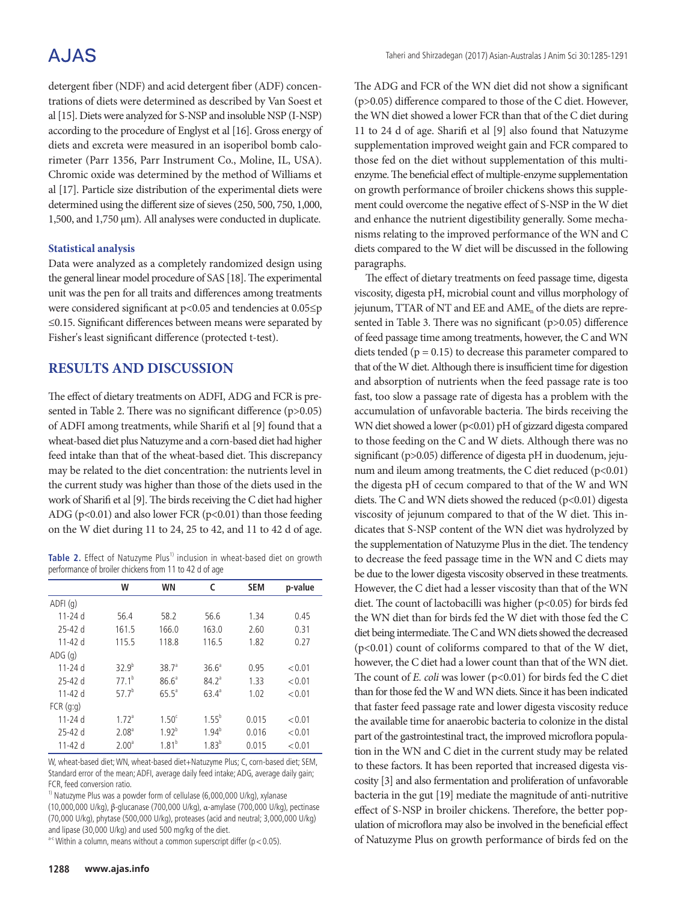## **AJAS**

detergent fiber (NDF) and acid detergent fiber (ADF) concentrations of diets were determined as described by Van Soest et al [15]. Diets were analyzed for S-NSP and insoluble NSP (I-NSP) according to the procedure of Englyst et al [16]. Gross energy of diets and excreta were measured in an isoperibol bomb calorimeter (Parr 1356, Parr Instrument Co., Moline, IL, USA). Chromic oxide was determined by the method of Williams et al [17]. Particle size distribution of the experimental diets were determined using the different size of sieves (250, 500, 750, 1,000, 1,500, and 1,750 μm). All analyses were conducted in duplicate.

#### **Statistical analysis**

Data were analyzed as a completely randomized design using the general linear model procedure of SAS [18]. The experimental unit was the pen for all traits and differences among treatments were considered significant at p<0.05 and tendencies at 0.05≤p ≤0.15. Significant differences between means were separated by Fisher's least significant difference (protected t-test).

### **RESULTS AND DISCUSSION**

The effect of dietary treatments on ADFI, ADG and FCR is presented in Table 2. There was no significant difference (p>0.05) of ADFI among treatments, while Sharifi et al [9] found that a wheat-based diet plus Natuzyme and a corn-based diet had higher feed intake than that of the wheat-based diet. This discrepancy may be related to the diet concentration: the nutrients level in the current study was higher than those of the diets used in the work of Sharifi et al [9]. The birds receiving the C diet had higher ADG ( $p<0.01$ ) and also lower FCR ( $p<0.01$ ) than those feeding on the W diet during 11 to 24, 25 to 42, and 11 to 42 d of age.

Table 2. Effect of Natuzyme Plus<sup>1)</sup> inclusion in wheat-based diet on growth performance of broiler chickens from 11 to 42 d of age

|             | W                 | WN                | c                 | <b>SEM</b> | p-value |
|-------------|-------------------|-------------------|-------------------|------------|---------|
| ADFI(q)     |                   |                   |                   |            |         |
| $11 - 24d$  | 56.4              | 58.2              | 56.6              | 1.34       | 0.45    |
| $25 - 42d$  | 161.5             | 166.0             | 163.0             | 2.60       | 0.31    |
| $11 - 42d$  | 115.5             | 118.8             | 116.5             | 1.82       | 0.27    |
| ADG(q)      |                   |                   |                   |            |         |
| $11 - 24d$  | $32.9^{b}$        | 38.7 <sup>a</sup> | $36.6^a$          | 0.95       | < 0.01  |
| $25-42d$    | $77.1^b$          | $86.6^{\circ}$    | 84.2 <sup>a</sup> | 1.33       | < 0.01  |
| $11 - 42d$  | 57.7 <sup>b</sup> | $65.5^a$          | $63.4^{a}$        | 1.02       | < 0.01  |
| $FCR$ (q:q) |                   |                   |                   |            |         |
| $11 - 24d$  | 1.72 <sup>a</sup> | 1.50 <sup>c</sup> | $1.55^{b}$        | 0.015      | < 0.01  |
| $25 - 42d$  | 2.08 <sup>a</sup> | $1.92^{b}$        | $1.94^{b}$        | 0.016      | < 0.01  |
| $11 - 42d$  | 2.00 <sup>a</sup> | $1.81^{b}$        | $1.83^{b}$        | 0.015      | < 0.01  |

W, wheat-based diet; WN, wheat-based diet+Natuzyme Plus; C, corn-based diet; SEM, Standard error of the mean; ADFI, average daily feed intake; ADG, average daily gain; FCR, feed conversion ratio.

<sup>1)</sup> Natuzyme Plus was a powder form of cellulase (6,000,000 U/kg), xylanase (10,000,000 U/kg), β-glucanase (700,000 U/kg), α-amylase (700,000 U/kg), pectinase (70,000 U/kg), phytase (500,000 U/kg), proteases (acid and neutral; 3,000,000 U/kg) and lipase (30,000 U/kg) and used 500 mg/kg of the diet.

 $a$ -c Within a column, means without a common superscript differ ( $p < 0.05$ ).

The ADG and FCR of the WN diet did not show a significant (p>0.05) difference compared to those of the C diet. However, the WN diet showed a lower FCR than that of the C diet during 11 to 24 d of age. Sharifi et al [9] also found that Natuzyme supplementation improved weight gain and FCR compared to those fed on the diet without supplementation of this multienzyme. The beneficial effect of multiple-enzyme supplementation on growth performance of broiler chickens shows this supplement could overcome the negative effect of S-NSP in the W diet and enhance the nutrient digestibility generally. Some mechanisms relating to the improved performance of the WN and C diets compared to the W diet will be discussed in the following paragraphs.

The effect of dietary treatments on feed passage time, digesta viscosity, digesta pH, microbial count and villus morphology of jejunum, TTAR of NT and EE and AME<sub>n</sub> of the diets are represented in Table 3. There was no significant (p>0.05) difference of feed passage time among treatments, however, the C and WN diets tended ( $p = 0.15$ ) to decrease this parameter compared to that of the W diet. Although there is insufficient time for digestion and absorption of nutrients when the feed passage rate is too fast, too slow a passage rate of digesta has a problem with the accumulation of unfavorable bacteria. The birds receiving the WN diet showed a lower (p<0.01) pH of gizzard digesta compared to those feeding on the C and W diets. Although there was no significant (p>0.05) difference of digesta pH in duodenum, jejunum and ileum among treatments, the C diet reduced  $(p<0.01)$ the digesta pH of cecum compared to that of the W and WN diets. The C and WN diets showed the reduced  $(p<0.01)$  digesta viscosity of jejunum compared to that of the W diet. This indicates that S-NSP content of the WN diet was hydrolyzed by the supplementation of Natuzyme Plus in the diet. The tendency to decrease the feed passage time in the WN and C diets may be due to the lower digesta viscosity observed in these treatments. However, the C diet had a lesser viscosity than that of the WN diet. The count of lactobacilli was higher (p<0.05) for birds fed the WN diet than for birds fed the W diet with those fed the C diet being intermediate. The C and WN diets showed the decreased (p<0.01) count of coliforms compared to that of the W diet, however, the C diet had a lower count than that of the WN diet. The count of *E. coli* was lower (p<0.01) for birds fed the C diet than for those fed the W and WN diets. Since it has been indicated that faster feed passage rate and lower digesta viscosity reduce the available time for anaerobic bacteria to colonize in the distal part of the gastrointestinal tract, the improved microflora population in the WN and C diet in the current study may be related to these factors. It has been reported that increased digesta viscosity [3] and also fermentation and proliferation of unfavorable bacteria in the gut [19] mediate the magnitude of anti-nutritive effect of S-NSP in broiler chickens. Therefore, the better population of microflora may also be involved in the beneficial effect of Natuzyme Plus on growth performance of birds fed on the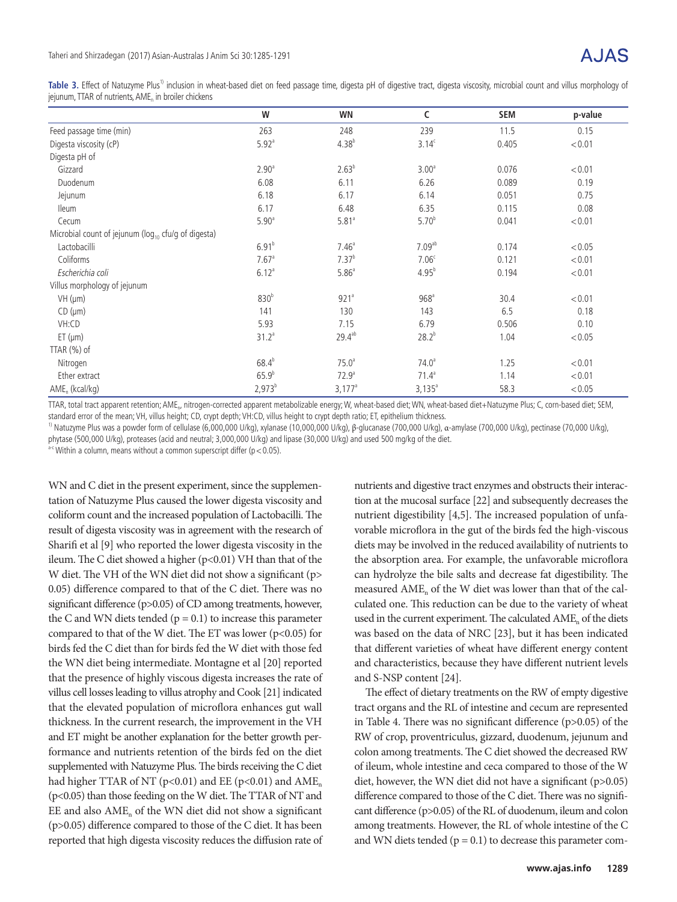Table 3. Effect of Natuzyme Plus<sup>1)</sup> inclusion in wheat-based diet on feed passage time, digesta pH of digestive tract, digesta viscosity, microbial count and villus morphology of jejunum, TTAR of nutrients, AME. in broiler chickens

|                                                           | W                   | WN                   | C                  | <b>SEM</b> | p-value |
|-----------------------------------------------------------|---------------------|----------------------|--------------------|------------|---------|
| Feed passage time (min)                                   | 263                 | 248                  | 239                | 11.5       | 0.15    |
| Digesta viscosity (cP)                                    | $5.92$ <sup>a</sup> | $4.38^{b}$           | $3.14^c$           | 0.405      | < 0.01  |
| Digesta pH of                                             |                     |                      |                    |            |         |
| Gizzard                                                   | 2.90 <sup>a</sup>   | $2.63^{b}$           | 3.00 <sup>a</sup>  | 0.076      | < 0.01  |
| Duodenum                                                  | 6.08                | 6.11                 | 6.26               | 0.089      | 0.19    |
| Jejunum                                                   | 6.18                | 6.17                 | 6.14               | 0.051      | 0.75    |
| <b>Ileum</b>                                              | 6.17                | 6.48                 | 6.35               | 0.115      | 0.08    |
| Cecum                                                     | 5.90 <sup>a</sup>   | $5.81$ <sup>a</sup>  | $5.70^{b}$         | 0.041      | < 0.01  |
| Microbial count of jejunum ( $log_{10}$ cfu/g of digesta) |                     |                      |                    |            |         |
| Lactobacilli                                              | 6.91 <sup>b</sup>   | 7.46 <sup>a</sup>    | 7.09 <sup>ab</sup> | 0.174      | < 0.05  |
| Coliforms                                                 | $7.67$ <sup>a</sup> | $7.37^{b}$           | 7.06 <sup>c</sup>  | 0.121      | < 0.01  |
| Escherichia coli                                          | $6.12^{a}$          | $5.86^a$             | $4.95^{b}$         | 0.194      | < 0.01  |
| Villus morphology of jejunum                              |                     |                      |                    |            |         |
| $VH$ ( $µm$ )                                             | 830 <sup>b</sup>    | 921 <sup>a</sup>     | 968 <sup>a</sup>   | 30.4       | < 0.01  |
| CD (µm)                                                   | 141                 | 130                  | 143                | 6.5        | 0.18    |
| VH:CD                                                     | 5.93                | 7.15                 | 6.79               | 0.506      | 0.10    |
| ET (µm)                                                   | 31.2 <sup>a</sup>   | $29.4^{ab}$          | $28.2^{b}$         | 1.04       | < 0.05  |
| TTAR $(\%)$ of                                            |                     |                      |                    |            |         |
| Nitrogen                                                  | $68.4^{b}$          | 75.0 <sup>a</sup>    | 74.0 <sup>a</sup>  | 1.25       | < 0.01  |
| Ether extract                                             | $65.9^{b}$          | 72.9 <sup>a</sup>    | $71.4^a$           | 1.14       | < 0.01  |
| AME <sub>n</sub> (kcal/kg)                                | $2,973^{b}$         | $3,177$ <sup>a</sup> | $3,135^a$          | 58.3       | < 0.05  |

TTAR, total tract apparent retention; AME<sub>n</sub>, nitrogen-corrected apparent metabolizable energy; W, wheat-based diet; WN, wheat-based diet+Natuzyme Plus; C, corn-based diet; SEM, standard error of the mean; VH, villus height; CD, crypt depth; VH:CD, villus height to crypt depth ratio; ET, epithelium thickness.

<sup>1)</sup> Natuzyme Plus was a powder form of cellulase (6,000,000 U/kg), xylanase (10,000,000 U/kg), β-glucanase (700,000 U/kg), α-amylase (700,000 U/kg), pectinase (70,000 U/kg),

phytase (500,000 U/kg), proteases (acid and neutral; 3,000,000 U/kg) and lipase (30,000 U/kg) and used 500 mg/kg of the diet.

 $a-c$  Within a column, means without a common superscript differ ( $p < 0.05$ ).

WN and C diet in the present experiment, since the supplementation of Natuzyme Plus caused the lower digesta viscosity and coliform count and the increased population of Lactobacilli. The result of digesta viscosity was in agreement with the research of Sharifi et al [9] who reported the lower digesta viscosity in the ileum. The C diet showed a higher (p<0.01) VH than that of the W diet. The VH of the WN diet did not show a significant (p> 0.05) difference compared to that of the C diet. There was no significant difference (p>0.05) of CD among treatments, however, the C and WN diets tended  $(p = 0.1)$  to increase this parameter compared to that of the W diet. The ET was lower ( $p$ <0.05) for birds fed the C diet than for birds fed the W diet with those fed the WN diet being intermediate. Montagne et al [20] reported that the presence of highly viscous digesta increases the rate of villus cell losses leading to villus atrophy and Cook [21] indicated that the elevated population of microflora enhances gut wall thickness. In the current research, the improvement in the VH and ET might be another explanation for the better growth performance and nutrients retention of the birds fed on the diet supplemented with Natuzyme Plus. The birds receiving the C diet had higher TTAR of NT ( $p<0.01$ ) and EE ( $p<0.01$ ) and AME<sub>n</sub> (p<0.05) than those feeding on the W diet. The TTAR of NT and  $EE$  and also  $AME<sub>n</sub>$  of the WN diet did not show a significant (p>0.05) difference compared to those of the C diet. It has been reported that high digesta viscosity reduces the diffusion rate of nutrients and digestive tract enzymes and obstructs their interaction at the mucosal surface [22] and subsequently decreases the nutrient digestibility [4,5]. The increased population of unfavorable microflora in the gut of the birds fed the high-viscous diets may be involved in the reduced availability of nutrients to the absorption area. For example, the unfavorable microflora can hydrolyze the bile salts and decrease fat digestibility. The measured  $\text{AME}_n$  of the W diet was lower than that of the calculated one. This reduction can be due to the variety of wheat used in the current experiment. The calculated AME<sub>n</sub> of the diets was based on the data of NRC [23], but it has been indicated that different varieties of wheat have different energy content and characteristics, because they have different nutrient levels and S-NSP content [24].

The effect of dietary treatments on the RW of empty digestive tract organs and the RL of intestine and cecum are represented in Table 4. There was no significant difference (p>0.05) of the RW of crop, proventriculus, gizzard, duodenum, jejunum and colon among treatments. The C diet showed the decreased RW of ileum, whole intestine and ceca compared to those of the W diet, however, the WN diet did not have a significant (p>0.05) difference compared to those of the C diet. There was no significant difference (p>0.05) of the RL of duodenum, ileum and colon among treatments. However, the RL of whole intestine of the C and WN diets tended ( $p = 0.1$ ) to decrease this parameter com-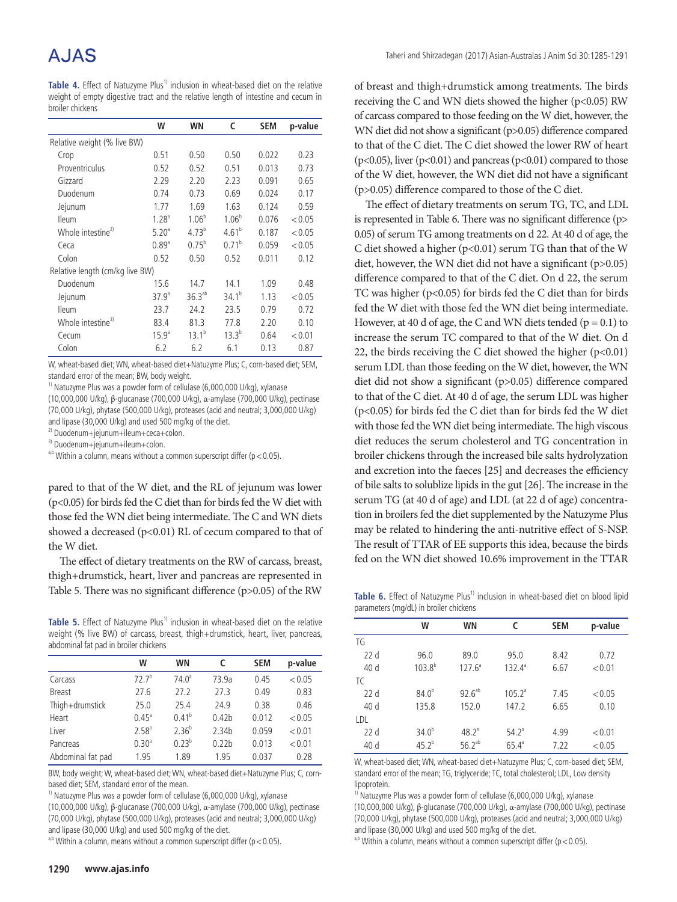# A.JAS

**Table 4.** Effect of Natuzyme Plus<sup>1)</sup> inclusion in wheat-based diet on the relative weight of empty digestive tract and the relative length of intestine and cecum in broiler chickens

|                                 | W                 | WN          | c                 | <b>SEM</b> | p-value |
|---------------------------------|-------------------|-------------|-------------------|------------|---------|
| Relative weight (% live BW)     |                   |             |                   |            |         |
| Crop                            | 0.51              | 0.50        | 0.50              | 0.022      | 0.23    |
| Proventriculus                  | 0.52              | 0.52        | 0.51              | 0.013      | 0.73    |
| Gizzard                         | 2.29              | 2.20        | 2.23              | 0.091      | 0.65    |
| Duodenum                        | 0.74              | 0.73        | 0.69              | 0.024      | 0.17    |
| Jejunum                         | 1.77              | 1.69        | 1.63              | 0.124      | 0.59    |
| <b>Ileum</b>                    | 1.28 <sup>a</sup> | $1.06^{b}$  | 1.06 <sup>b</sup> | 0.076      | < 0.05  |
| Whole intestine <sup>2)</sup>   | 5.20 <sup>a</sup> | $4.73^{b}$  | $4.61^{b}$        | 0.187      | < 0.05  |
| Ceca                            | 0.89 <sup>a</sup> | $0.75^{b}$  | $0.71^{b}$        | 0.059      | < 0.05  |
| Colon                           | 0.52              | 0.50        | 0.52              | 0.011      | 0.12    |
| Relative length (cm/kg live BW) |                   |             |                   |            |         |
| Duodenum                        | 15.6              | 14.7        | 14.1              | 1.09       | 0.48    |
| Jejunum                         | 37.9 <sup>a</sup> | $36.3^{ab}$ | $34.1^{b}$        | 1.13       | < 0.05  |
| <b>Ileum</b>                    | 23.7              | 24.2        | 23.5              | 0.79       | 0.72    |
| Whole intestine <sup>3)</sup>   | 83.4              | 81.3        | 77.8              | 2.20       | 0.10    |
| Cecum                           | 15.9 <sup>a</sup> | $13.1^{b}$  | $13.3^{b}$        | 0.64       | < 0.01  |
| Colon                           | 6.2               | 6.2         | 6.1               | 0.13       | 0.87    |

W, wheat-based diet; WN, wheat-based diet+Natuzyme Plus; C, corn-based diet; SEM, standard error of the mean; BW, body weight.

<sup>1)</sup> Natuzyme Plus was a powder form of cellulase (6,000,000 U/kg), xylanase

(10,000,000 U/kg), β-glucanase (700,000 U/kg), α-amylase (700,000 U/kg), pectinase (70,000 U/kg), phytase (500,000 U/kg), proteases (acid and neutral; 3,000,000 U/kg) and lipase (30,000 U/kg) and used 500 mg/kg of the diet.

2) Duodenum+jejunum+ileum+ceca+colon.

3) Duodenum+jejunum+ileum+colon.

a,b Within a column, means without a common superscript differ ( $p < 0.05$ ).

pared to that of the W diet, and the RL of jejunum was lower (p<0.05) for birds fed the C diet than for birds fed the W diet with those fed the WN diet being intermediate. The C and WN diets showed a decreased ( $p<0.01$ ) RL of cecum compared to that of the W diet.

The effect of dietary treatments on the RW of carcass, breast, thigh+drumstick, heart, liver and pancreas are represented in Table 5. There was no significant difference (p>0.05) of the RW

Table 5. Effect of Natuzyme Plus<sup>1)</sup> inclusion in wheat-based diet on the relative weight (% live BW) of carcass, breast, thigh+drumstick, heart, liver, pancreas, abdominal fat pad in broiler chickens

|                   | W                 | <b>WN</b>         | c                 | <b>SEM</b> | p-value |
|-------------------|-------------------|-------------------|-------------------|------------|---------|
| Carcass           | $72.7^{b}$        | 74.0 <sup>a</sup> | 73.9a             | 0.45       | < 0.05  |
| <b>Breast</b>     | 27.6              | 27.2              | 27.3              | 0.49       | 0.83    |
| Thigh+drumstick   | 25.0              | 25.4              | 24.9              | 0.38       | 0.46    |
| Heart             | $0.45^{\circ}$    | $0.41^{b}$        | 0.42 <sub>b</sub> | 0.012      | < 0.05  |
| Liver             | $2.58^{a}$        | $2.36^{b}$        | 2.34 <sub>b</sub> | 0.059      | < 0.01  |
| Pancreas          | 0.30 <sup>a</sup> | $0.23^{b}$        | 0.22 <sub>b</sub> | 0.013      | < 0.01  |
| Abdominal fat pad | 1.95              | 1.89              | 1.95              | 0.037      | 0.28    |

BW, body weight; W, wheat-based diet; WN, wheat-based diet+Natuzyme Plus; C, cornbased diet; SEM, standard error of the mean.

<sup>1)</sup> Natuzyme Plus was a powder form of cellulase (6,000,000 U/kg), xylanase (10,000,000 U/kg), β-glucanase (700,000 U/kg), α-amylase (700,000 U/kg), pectinase

(70,000 U/kg), phytase (500,000 U/kg), proteases (acid and neutral; 3,000,000 U/kg) and lipase (30,000 U/kg) and used 500 mg/kg of the diet.

<sup>a,b</sup> Within a column, means without a common superscript differ ( $p < 0.05$ ).

of breast and thigh+drumstick among treatments. The birds receiving the C and WN diets showed the higher (p<0.05) RW of carcass compared to those feeding on the W diet, however, the WN diet did not show a significant (p>0.05) difference compared to that of the C diet. The C diet showed the lower RW of heart (p<0.05), liver (p<0.01) and pancreas (p<0.01) compared to those of the W diet, however, the WN diet did not have a significant (p>0.05) difference compared to those of the C diet.

The effect of dietary treatments on serum TG, TC, and LDL is represented in Table 6. There was no significant difference (p> 0.05) of serum TG among treatments on d 22. At 40 d of age, the C diet showed a higher ( $p<0.01$ ) serum TG than that of the W diet, however, the WN diet did not have a significant (p>0.05) difference compared to that of the C diet. On d 22, the serum TC was higher (p<0.05) for birds fed the C diet than for birds fed the W diet with those fed the WN diet being intermediate. However, at 40 d of age, the C and WN diets tended ( $p = 0.1$ ) to increase the serum TC compared to that of the W diet. On d 22, the birds receiving the C diet showed the higher  $(p<0.01)$ serum LDL than those feeding on the W diet, however, the WN diet did not show a significant (p>0.05) difference compared to that of the C diet. At 40 d of age, the serum LDL was higher (p<0.05) for birds fed the C diet than for birds fed the W diet with those fed the WN diet being intermediate. The high viscous diet reduces the serum cholesterol and TG concentration in broiler chickens through the increased bile salts hydrolyzation and excretion into the faeces [25] and decreases the efficiency of bile salts to solublize lipids in the gut [26]. The increase in the serum TG (at 40 d of age) and LDL (at 22 d of age) concentration in broilers fed the diet supplemented by the Natuzyme Plus may be related to hindering the anti-nutritive effect of S-NSP. The result of TTAR of EE supports this idea, because the birds fed on the WN diet showed 10.6% improvement in the TTAR

Table 6. Effect of Natuzyme Plus<sup>1)</sup> inclusion in wheat-based diet on blood lipid parameters (mg/dL) in broiler chickens

| w           | WN          | c              | <b>SEM</b> | p-value |
|-------------|-------------|----------------|------------|---------|
|             |             |                |            |         |
| 96.0        | 89.0        | 95.0           | 8.42       | 0.72    |
| $103.8^{b}$ | $127.6^a$   | $132.4^a$      | 6.67       | < 0.01  |
|             |             |                |            |         |
| $84.0^{b}$  | $92.6^{ab}$ | $105.2^a$      | 7.45       | < 0.05  |
| 135.8       | 152.0       | 147.2          | 6.65       | 0.10    |
|             |             |                |            |         |
| $34.0^{b}$  | $48.2^{a}$  | $54.2^{\circ}$ | 4.99       | < 0.01  |
| $45.2^{b}$  | $56.2^{ab}$ | $65.4^{\circ}$ | 7.22       | < 0.05  |
|             |             |                |            |         |

W, wheat-based diet; WN, wheat-based diet+Natuzyme Plus; C, corn-based diet; SEM, standard error of the mean; TG, triglyceride; TC, total cholesterol; LDL, Low density lipoprotein.

<sup>1)</sup> Natuzyme Plus was a powder form of cellulase (6,000,000 U/kg), xylanase (10,000,000 U/kg), β-glucanase (700,000 U/kg), α-amylase (700,000 U/kg), pectinase (70,000 U/kg), phytase (500,000 U/kg), proteases (acid and neutral; 3,000,000 U/kg) and lipase (30,000 U/kg) and used 500 mg/kg of the diet.

<sup>a,b</sup> Within a column, means without a common superscript differ ( $p < 0.05$ ).